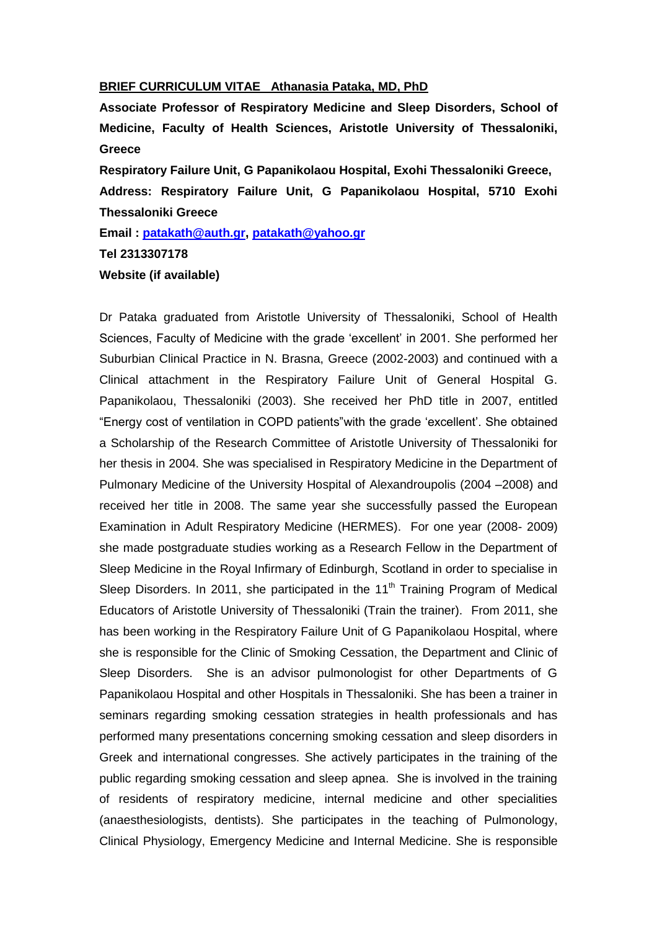## **BRIEF CURRICULUM VITAE Athanasia Pataka, MD, PhD**

**Associate Professor of Respiratory Medicine and Sleep Disorders, School of Medicine, Faculty of Health Sciences, Aristotle University of Thessaloniki, Greece**

**Respiratory Failure Unit, G Papanikolaou Hospital, Exohi Thessaloniki Greece, Address: Respiratory Failure Unit, G Papanikolaou Hospital, 5710 Exohi Thessaloniki Greece**

**Email : [patakath@auth.gr,](mailto:patakath@auth.gr) [patakath@yahoo.gr](mailto:patakath@yahoo.gr)**

**Tel 2313307178**

## **Website (if available)**

Dr Pataka graduated from Aristotle University of Thessaloniki, School of Health Sciences, Faculty of Medicine with the grade "excellent" in 2001. She performed her Suburbian Clinical Practice in N. Brasna, Greece (2002-2003) and continued with a Clinical attachment in the Respiratory Failure Unit of General Hospital G. Papanikolaou, Thessaloniki (2003). She received her PhD title in 2007, entitled "Energy cost of ventilation in COPD patients"with the grade "excellent". She obtained a Scholarship of the Research Committee of Aristotle University of Thessaloniki for her thesis in 2004. She was specialised in Respiratory Medicine in the Department of Pulmonary Medicine of the University Hospital of Alexandroupolis (2004 –2008) and received her title in 2008. The same year she successfully passed the European Examination in Adult Respiratory Medicine (HERMES). For one year (2008- 2009) she made postgraduate studies working as a Research Fellow in the Department of Sleep Medicine in the Royal Infirmary of Edinburgh, Scotland in order to specialise in Sleep Disorders. In 2011, she participated in the  $11<sup>th</sup>$  Training Program of Medical Educators of Aristotle University of Thessaloniki (Train the trainer). From 2011, she has been working in the Respiratory Failure Unit of G Papanikolaou Hospital, where she is responsible for the Clinic of Smoking Cessation, the Department and Clinic of Sleep Disorders. She is an advisor pulmonologist for other Departments of G Papanikolaou Hospital and other Hospitals in Thessaloniki. She has been a trainer in seminars regarding smoking cessation strategies in health professionals and has performed many presentations concerning smoking cessation and sleep disorders in Greek and international congresses. She actively participates in the training of the public regarding smoking cessation and sleep apnea. She is involved in the training of residents of respiratory medicine, internal medicine and other specialities (anaesthesiologists, dentists). She participates in the teaching of Pulmonology, Clinical Physiology, Emergency Medicine and Internal Medicine. She is responsible